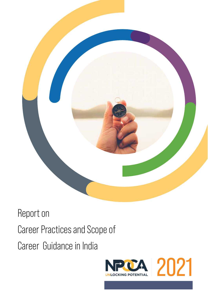

### Report on Career Practices and Scope of Career Guidance in India

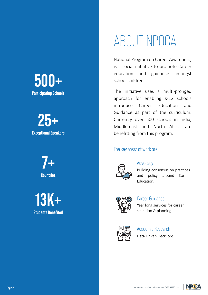**500+ Participating Schools**

**25+ Exceptional Speakers**

> **7+ Countries**

**13K+ Students Benefited**

## ABOUT NPOCA

National Program on Career Awareness, is a social initiative to promote Career education and guidance amongst school children.

The initiative uses a multi-pronged approach for enabling K-12 schools introduce Career Education and Guidance as part of the curriculum. Currently over 500 schools in India, Middle-east and North Africa are benefitting from this program.

#### The key areas of work are



#### **Advocacy**

Building consensus on practices and policy around Career **Education** 



Year long services for career selection & planning Career Guidance



#### Academic Research

Data Driven Decisions

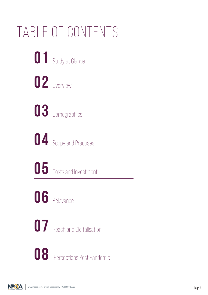## Table of Contents



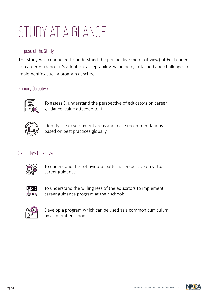## STUDY AT A GLANCE

#### Purpose of the Study

The study was conducted to understand the perspective (point of view) of Ed. Leaders for career guidance, it's adoption, acceptability, value being attached and challenges in implementing such a program at school.

#### Primary Objective



To assess & understand the perspective of educators on career guidance, value attached to it.



Identify the development areas and make recommendations based on best practices globally.

#### Secondary Objective



To understand the behavioural pattern, perspective on virtual career guidance



To understand the willingness of the educators to implement career guidance program at their schools



Develop a program which can be used as a common curriculum by all member schools.

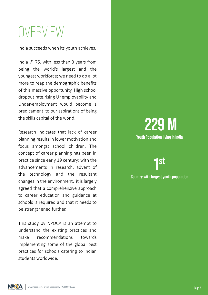## OVERVIEW

India succeeds when its youth achieves.

India @ 75, with less than 3 years from being the world's largest and the youngest workforce; we need to do a lot more to reap the demographic benefits of this massive opportunity. High school dropout rate,rising Unemployability and Under-employment would become a predicament to our aspirations of being the skills capital of the world.

Research indicates that lack of career planning results in lower motivation and focus amongst school children. The concept of career planning has been in practice since early 19 century; with the advancements in research, advent of the technology and the resultant changes in the environment, it is largely agreed that a comprehensive approach to career education and guidance at schools is required and that it needs to be strengthened further.

This study by NPOCA is an attempt to understand the existing practices and make recommendations towards implementing some of the global best practices for schools catering to Indian students worldwide.

#### **229 M Youth Population living in India**

**1 st**

**Country with largest youth population**

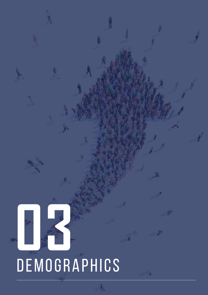# DEMOGRAPHICS **03**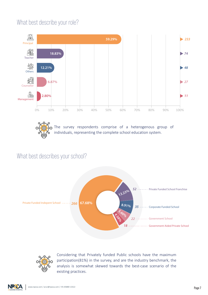#### What best describe your role?



The survey respondents comprise of a heterogenous group of individuals, representing the complete school education system.

#### What best describes your school?





Considering that Privately funded Public schools have the maximum participation(81%) in the survey, and are the industry benchmark, the analysis is somewhat skewed towards the best-case scenario of the existing practices.

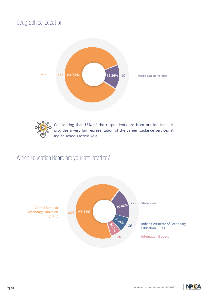#### Geographical Location





Considering that 15% of the respondents are from outside India, it provides a very fair representation of the career guidance services at Indian schools across Asia.

#### Which Education Board are your affiliated to?



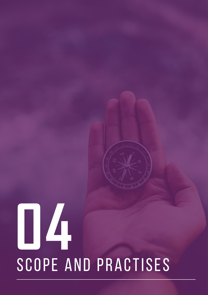# Scope and Practises **04**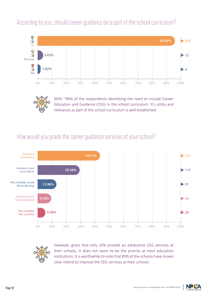According to you, should career guidance be a part of the school curriculum?





With ~96% of the respondents identifying the need to include Career Education and Guidance (CEG) in the school curriculum. It's utility and relevance as part of the school curriculum is well established.

#### How would you grade the career guidance services at your school?





However, given that only 10% provide an exhaustive CEG services at their schools, it does not seem to be the priority at most education institutions. It is worthwhile to note that 85% of the schools have shown clear intend to improve the CEG services at their schools.

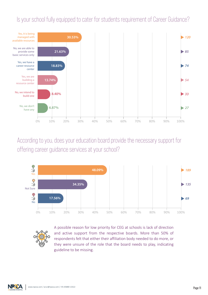#### Is your school fully equipped to cater for students requirement of Career Guidance?



According to you, does your education board provide the necessary support for offering career guidance services at your school?





A possible reason for low priority for CEG at schools is lack of direction and active support from the respective boards. More than 50% of respondents felt that either their affiliation body needed to do more, or they were unsure of the role that the board needs to play, indicating guideline to be missing.

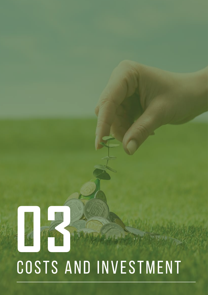# Costs and Investment **03**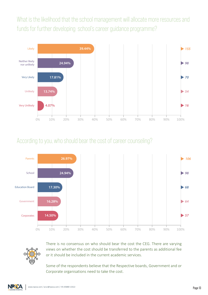What is the likelihood that the school management will allocate more resources and funds for further developing school's career guidance programme?



#### According to you, who should bear the cost of career counseling?



There is no consensus on who should bear the cost the CEG. There are varying views on whether the cost should be transferred to the parents as additional fee or it should be included in the current academic services.

Some of the respondents believe that the Respective boards, Government and or Corporate organisations need to take the cost.

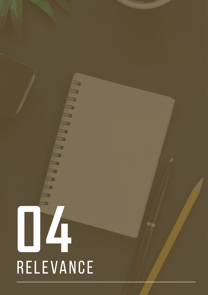# Relevance **04**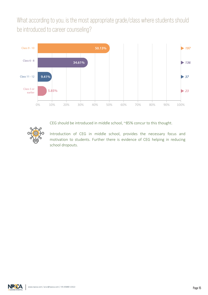What according to you, is the most appropriate grade/class where students should be introduced to career counseling?



CEG should be introduced in middle school, ~85% concur to this thought.



Introduction of CEG in middle school, provides the necessary focus and motivation to students. Further there is evidence of CEG helping in reducing school dropouts.

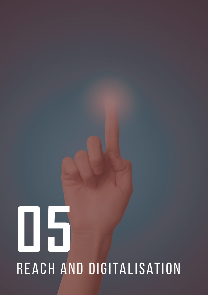## Reach and digitalisation **05**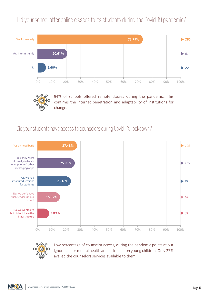#### Did your school offer online classes to its students during the Covid-19 pandemic?





94% of schools offered remote classes during the pandemic. This confirms the internet penetration and adaptability of institutions for change.

#### Did your students have access to counselors during Covid -19 lockdown?





Low percentage of counselor access, during the pandemic points at our ignorance for mental health and its impact on young children. Only 27% availed the counselors services available to them.

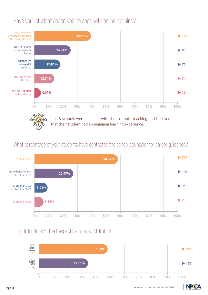#### Have your students been able to cope with online learning?



#### What percentage of your students have contacted the school counselor for career guidance?



#### Contributions of the Respective Boards (Affiliation)



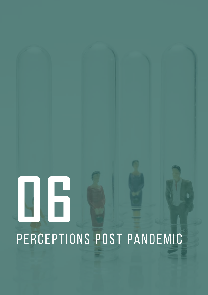# PERCEPTIONS POST PANDEMIC **06**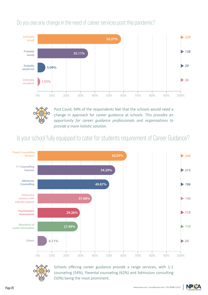Do you see any change in the need of career services post this pandemic?





Post Covid, 94% of the respondents feel that the schools would need a change in approach for career guidance at schools. *This provides an opportunity for career guidance professionals and organisations to provide a more holistic solution.*

Is your school fully equipped to cater for students requirement of Career Guidance?





Schools offering career guidance provide a range services, with 1-1 counseling (54%), Parental counseling (62%) and Admission consulting (50%) being the most prominent.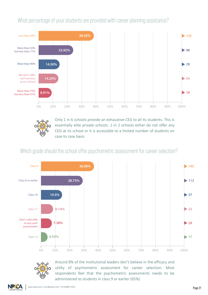#### What percentage of your students are provided with career planning assistance?



Only 1 in 6 schools provide an exhaustive CEG to all its students. This is essentially elite private schools. 1 in 2 schools either do not offer any CEG at its school or it is accessible to a limited number of students on case to case basis

#### Which grade should the school offer psychometric assessment for career selection?





Around 8% of the institutional leaders don't believe in the efficacy and utility of psychometric assessment for career selection. Most respondents feel that the psychometric assessments needs to be administered to students in class 9 or earlier (65%)

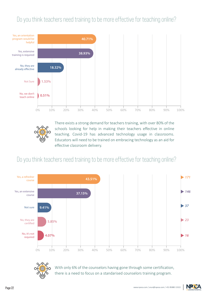#### Do you think teachers need training to be more effective for teaching online?





There exists a strong demand for teachers training, with over 80% of the schools looking for help in making their teachers effective in online teaching. Covid-19 has advanced technology usage in classrooms. Educators will need to be trained on embracing technology as an aid for effective classroom delivery.

#### Do you think teachers need training to be more effective for teaching online?





With only 6% of the counselors having gone through some certification, there is a need to focus on a standarised counselors training program.